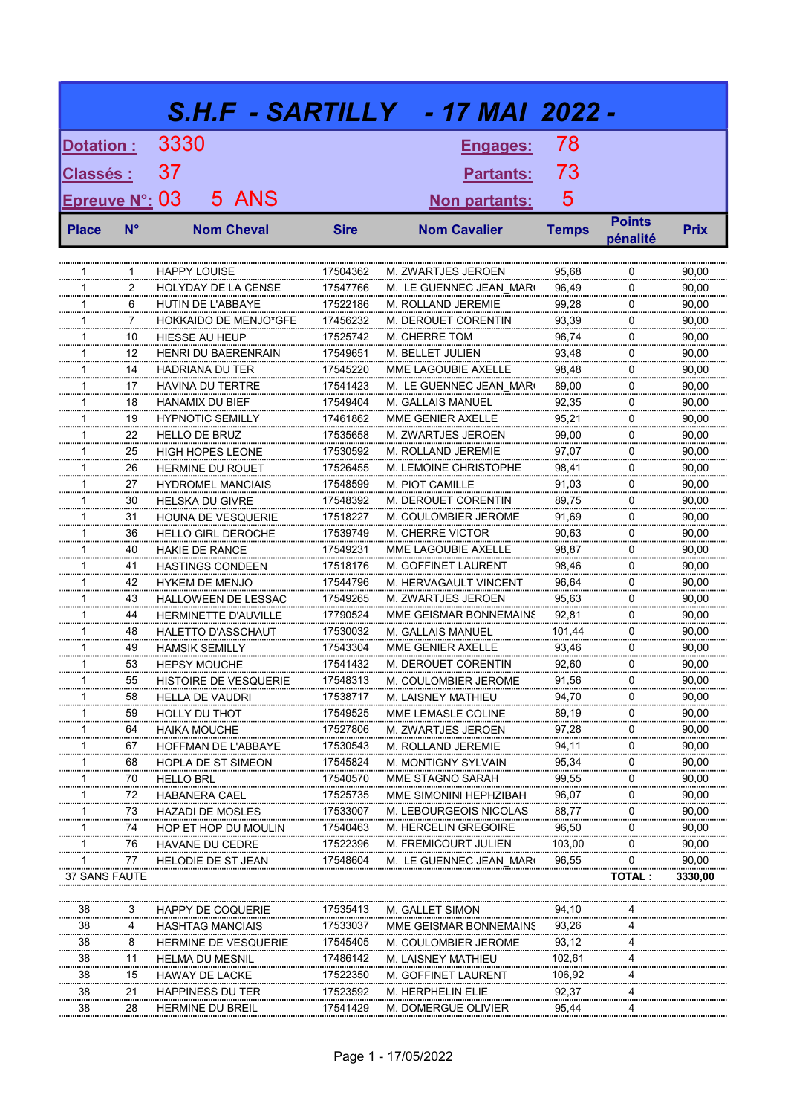|                       |             |                                            |                      | S.H.F - SARTILLY   - 17 MAI 2022 -       |                |                           |                |
|-----------------------|-------------|--------------------------------------------|----------------------|------------------------------------------|----------------|---------------------------|----------------|
| Dotation:             |             | 3330                                       |                      | <b>Engages:</b>                          | 78             |                           |                |
| <b>Classés:</b>       |             | 37                                         |                      | <b>Partants:</b>                         | 73             |                           |                |
| <b>Epreuve N°: 03</b> |             | 5 ANS                                      |                      | <u>Non partants:</u>                     | 5              |                           |                |
| <b>Place</b>          | $N^{\circ}$ | <b>Nom Cheval</b>                          | <b>Sire</b>          | <b>Nom Cavalier</b>                      | <b>Temps</b>   | <b>Points</b><br>pénalité | <b>Prix</b>    |
|                       |             |                                            |                      |                                          |                |                           |                |
| 1                     | 1           | <b>HAPPY LOUISE</b>                        | 17504362             | M. ZWARTJES JEROEN                       | 95,68          | 0                         | 90,00          |
| 1                     | 2           | <b>HOLYDAY DE LA CENSE</b>                 | 17547766             | M. LE GUENNEC JEAN MAR(                  | 96,49          | 0                         | 90,00          |
| 1                     | 6           | HUTIN DE L'ABBAYE                          | 17522186             | M. ROLLAND JEREMIE                       | 99,28          | 0                         | 90,00          |
| 1                     | 7           | HOKKAIDO DE MENJO*GFE                      | 17456232             | M. DEROUET CORENTIN                      | 93,39          | 0                         | 90,00          |
| 1                     | 10          | <b>HIESSE AU HEUP</b>                      | 17525742             | M. CHERRE TOM                            | 96,74          | 0                         | 90,00          |
| 1                     | 12          | <b>HENRI DU BAERENRAIN</b>                 | 17549651             | M. BELLET JULIEN                         | 93,48          | 0                         | 90,00          |
| 1                     | 14          | <b>HADRIANA DU TER</b>                     | 17545220             | MME LAGOUBIE AXELLE                      | 98,48          | 0                         | 90,00          |
| 1                     | 17          | <b>HAVINA DU TERTRE</b>                    | 17541423             | M. LE GUENNEC JEAN MAR(                  | 89,00          | 0                         | 90,00          |
| 1                     | 18          | <b>HANAMIX DU BIEF</b>                     | 17549404             | M. GALLAIS MANUEL                        | 92,35          | 0                         | 90,00          |
| 1                     | 19          | <b>HYPNOTIC SEMILLY</b>                    | 17461862             | MME GENIER AXELLE                        | 95,21          | 0                         | 90,00          |
| 1                     | 22          | <b>HELLO DE BRUZ</b>                       | 17535658             | M. ZWARTJES JEROEN                       | 99,00          | 0                         | 90,00          |
| 1                     | 25          | <b>HIGH HOPES LEONE</b>                    | 17530592             | M. ROLLAND JEREMIE                       | 97,07          | 0                         | 90,00          |
| 1                     | 26          | <b>HERMINE DU ROUET</b>                    | 17526455             | M. LEMOINE CHRISTOPHE                    | 98,41          | 0                         | 90,00          |
| 1                     | 27          | <b>HYDROMEL MANCIAIS</b>                   | 17548599             | M. PIOT CAMILLE                          | 91,03          | 0                         | 90,00          |
| 1                     | 30          | <b>HELSKA DU GIVRE</b>                     | 17548392             | M. DEROUET CORENTIN                      | 89,75          | 0                         | 90,00          |
| 1                     | 31          | <b>HOUNA DE VESQUERIE</b>                  | 17518227             | M. COULOMBIER JEROME                     | 91,69          | 0                         | 90,00          |
| 1                     | 36          | <b>HELLO GIRL DEROCHE</b>                  | 17539749             | <b>M. CHERRE VICTOR</b>                  | 90,63          | 0                         | 90,00          |
| 1                     | 40          | <b>HAKIE DE RANCE</b>                      | 17549231             | MME LAGOUBIE AXELLE                      | 98,87          | 0                         | 90,00          |
| 1                     | 41          | <b>HASTINGS CONDEEN</b>                    | 17518176             | M. GOFFINET LAURENT                      | 98,46          | 0                         | 90,00          |
| 1                     | 42          | <b>HYKEM DE MENJO</b>                      | 17544796             | M. HERVAGAULT VINCENT                    | 96,64          | 0                         | 90,00          |
| 1                     | 43          | <b>HALLOWEEN DE LESSAC</b>                 | 17549265             | M. ZWARTJES JEROEN                       | 95,63          | 0                         | 90,00          |
| 1                     | 44          | HERMINETTE D'AUVILLE                       | 17790524             | MME GEISMAR BONNEMAINS                   | 92,81          | 0                         | 90,00          |
| 1                     | 48          | HALETTO D'ASSCHAUT                         | 17530032             | M. GALLAIS MANUEL                        | 101,44         | 0                         | 90,00          |
| 1                     | 49          | <b>HAMSIK SEMILLY</b>                      | 17543304             | MME GENIER AXELLE<br>M. DEROUET CORENTIN | 93,46          | 0                         | 90,00          |
| 1<br>1                | 53<br>55    | <b>HEPSY MOUCHE</b>                        | 17541432<br>17548313 |                                          | 92,60          | 0<br>U                    | 90,00          |
|                       |             | HISTOIRE DE VESQUERIE                      |                      | M. COULOMBIER JEROME                     | 91,56          | 0                         | 90,00          |
| 1<br>1                | 58          | HELLA DE VAUDRI                            | 17538717             | M. LAISNEY MATHIEU                       | 94,70          | 0                         | 90,00<br>90,00 |
|                       | 59          | HOLLY DU THOT                              | 17549525             | MME LEMASLE COLINE                       | 89,19<br>97,28 |                           |                |
| 1<br>1                | 64<br>67    | <b>HAIKA MOUCHE</b><br>HOFFMAN DE L'ABBAYE | 17527806<br>17530543 | M. ZWARTJES JEROEN                       | 94,11          | 0<br>0                    | 90,00<br>90,00 |
| 1                     | 68          |                                            | 17545824             | M. ROLLAND JEREMIE                       | 95,34          | 0                         | 90,00          |
| 1                     | 70          | HOPLA DE ST SIMEON                         | 17540570             | M. MONTIGNY SYLVAIN<br>MME STAGNO SARAH  | 99,55          | 0                         | 90,00          |
| 1                     | 72          | <b>HELLO BRL</b><br><b>HABANERA CAEL</b>   | 17525735             | MME SIMONINI HEPHZIBAH                   | 96,07          | 0                         | 90,00          |
| 1                     | 73          | <b>HAZADI DE MOSLES</b>                    | 17533007             | M. LEBOURGEOIS NICOLAS                   | 88,77          | 0                         | 90,00          |
| $\mathbf 1$           | 74          | HOP ET HOP DU MOULIN                       | 17540463             | M. HERCELIN GREGOIRE                     | 96,50          | 0                         | 90,00          |
| $\mathbf{1}$          | 76          | HAVANE DU CEDRE                            | 17522396             | M. FREMICOURT JULIEN                     | 103,00         | 0                         | 90,00          |
| 1                     | 77          | <b>HELODIE DE ST JEAN</b>                  | 17548604             | M. LE GUENNEC JEAN MAR(                  | 96,55          | 0                         | 90,00          |
| 37 SANS FAUTE         |             |                                            |                      |                                          |                | <b>TOTAL:</b>             | 3330,00        |
|                       |             |                                            |                      |                                          |                |                           |                |
| 38                    | 3           | HAPPY DE COQUERIE                          | 17535413             | M. GALLET SIMON                          | 94,10          | 4                         |                |
| 38                    | 4           | <b>HASHTAG MANCIAIS</b>                    | 17533037             | MME GEISMAR BONNEMAINS                   | 93,26          | 4                         |                |
| 38                    | 8           | <b>HERMINE DE VESQUERIE</b>                | 17545405             | M. COULOMBIER JEROME                     | 93,12          | 4                         |                |
| 38                    | 11          | <b>HELMA DU MESNIL</b>                     | 17486142             | M. LAISNEY MATHIEU                       | 102,61         | 4                         |                |
| 38                    | 15          | HAWAY DE LACKE                             | 17522350             | M. GOFFINET LAURENT                      | 106,92         | 4                         |                |
| 38                    | 21          | HAPPINESS DU TER                           | 17523592             | <b>M. HERPHELIN ELIE</b>                 | 92,37          | 4                         |                |
| 38                    | 28          | HERMINE DU BREIL                           | 17541429             | M. DOMERGUE OLIVIER                      | 95,44          | 4                         |                |